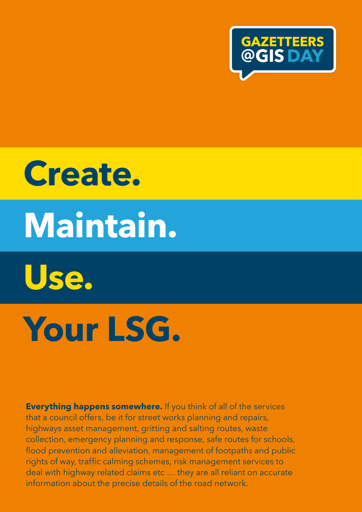

# **Create. Maintain. Use. Your LSG.**

**Everything happens somewhere.** If you think of all of the services that a council offers, be it for street works planning and repairs, highways asset management, gritting and salting routes, waste collection, emergency planning and response, safe routes for schools, flood prevention and alleviation, management of footpaths and public rights of way, traffic calming schemes, risk management services to deal with highway related claims etc … they are all reliant on accurate information about the precise details of the road network.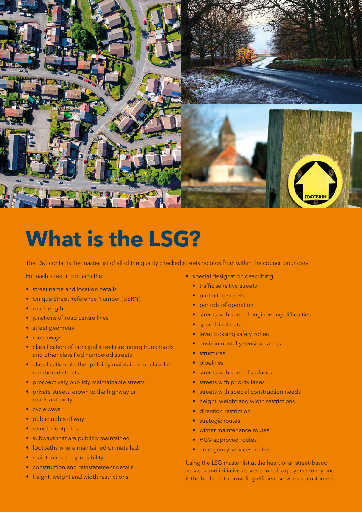

#### **What is the LSG?**

The LSG contains the master list of all of the quality checked streets records from within the council boundary.

For each street it contains the:

- street name and location details
- Unique Street Reference Number (USRN)
- road length
- junctions of road centre lines
- street geometry
- motorways
- classification of principal streets including trunk roads and other classified numbered streets
- classification of other publicly maintained unclassified numbered streets
- prospectively publicly maintainable streets
- private streets known to the highway or roads authority
- cycle ways
- public rights of way
- remote footpaths
- subways that are publicly maintained
- footpaths where maintained or metalled.
- maintenance responsibility
- construction and reinstatement details
- height, weight and width restrictions
- special designation describing:
	- traffic sensitive streets
	- protected streets
	- periods of operation
	- streets with special engineering difficulties
	- speed limit data
	- level crossing safety zones
	- environmentally sensitive areas
	- structures
	- pipelines
	- streets with special surfaces
	- streets with priority lanes
	- streets with special construction needs
	- height, weight and width restrictions
	- direction restriction
	- strategic routes
	- winter maintenance routes
	- HGV approved routes
	- emergency services routes.

Using the LSG master list at the heart of all street-based services and initiatives saves council taxpayers money and is the bedrock to providing efficient services to customers.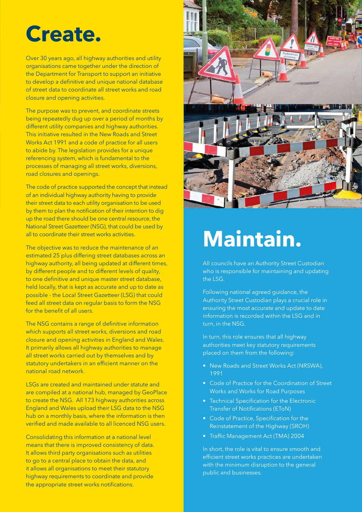### **Create.**

Over 30 years ago, all highway authorities and utility organisations came together under the direction of the Department for Transport to support an initiative to develop a definitive and unique national database of street data to coordinate all street works and road closure and opening activities.

The purpose was to prevent, and coordinate streets being repeatedly dug up over a period of months by different utility companies and highway authorities. This initiative resulted in the New Roads and Street Works Act 1991 and a code of practice for all users to abide by. The legislation provides for a unique referencing system, which is fundamental to the processes of managing all street works, diversions, road closures and openings.

The code of practice supported the concept that instead of an individual highway authority having to provide their street data to each utility organisation to be used by them to plan the notification of their intention to dig up the road there should be one central resource, the National Street Gazetteer (NSG), that could be used by all to coordinate their street works activities.

The objective was to reduce the maintenance of an estimated 25 plus differing street databases across an highway authority, all being updated at different times, by different people and to different levels of quality, to one definitive and unique master street database, held locally, that is kept as accurate and up to date as possible - the Local Street Gazetteer (LSG) that could feed all street data on regular basis to form the NSG for the benefit of all users.

The NSG contains a range of definitive information which supports all street works, diversions and road closure and opening activities in England and Wales. It primarily allows all highway authorities to manage all street works carried out by themselves and by statutory undertakers in an efficient manner on the national road network.

LSGs are created and maintained under statute and are compiled at a national hub, managed by GeoPlace to create the NSG. All 173 highway authorities across England and Wales upload their LSG data to the NSG hub on a monthly basis, where the information is then verified and made available to all licenced NSG users.

Consolidating this information at a national level means that there is improved consistency of data. It allows third party organisations such as utilities to go to a central place to obtain the data, and it allows all organisations to meet their statutory highway requirements to coordinate and provide the appropriate street works notifications.



## **Maintain.**

All councils have an Authority Street Custodian who is responsible for maintaining and updating the LSG.

Following national agreed guidance, the Authority Street Custodian plays a crucial role in ensuring the most accurate and update to date information is recorded within the LSG and in turn, in the NSG.

In turn, this role ensures that all highway authorities meet key statutory requirements placed on them from the following:

- New Roads and Street Works Act (NRSWA), 1991
- Code of Practice for the Coordination of Street Works and Works for Road Purposes
- Technical Specification for the Electronic Transfer of Notifications (EToN)
- Code of Practice, Specification for the Reinstatement of the Highway (SROH)
- Traffic Management Act (TMA) 2004

In short, the role is vital to ensure smooth and efficient street works practices are undertaken with the minimum disruption to the general public and businesses.